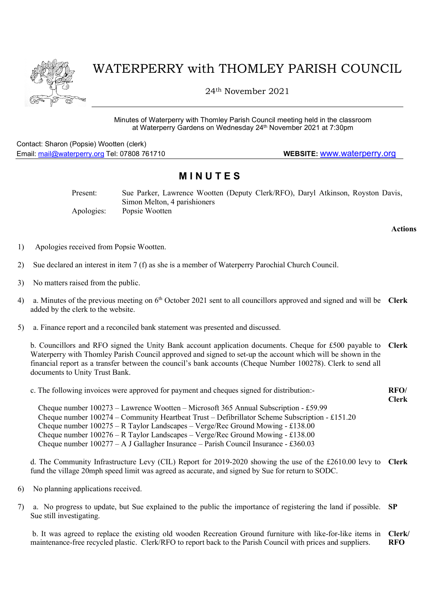

## WATERPERRY with THOMLEY PARISH COUNCIL

24th November 2021

Minutes of Waterperry with Thomley Parish Council meeting held in the classroom at Waterperry Gardens on Wednesday 24th November 2021 at 7:30pm

Contact: Sharon (Popsie) Wootten (clerk) Email: mail@waterperry.org Tel: 07808 761710 WEBSITE: www.waterperry.org

## **MINUTES**

Present: Sue Parker, Lawrence Wootten (Deputy Clerk/RFO), Daryl Atkinson, Royston Davis, Simon Melton, 4 parishioners Apologies: Popsie Wootten

Actions

- 1) Apologies received from Popsie Wootten.
- 2) Sue declared an interest in item 7 (f) as she is a member of Waterperry Parochial Church Council.
- 3) No matters raised from the public.
- 4) a. Minutes of the previous meeting on  $6<sup>th</sup>$  October 2021 sent to all councillors approved and signed and will be Clerk added by the clerk to the website.
- 5) a. Finance report and a reconciled bank statement was presented and discussed.

b. Councillors and RFO signed the Unity Bank account application documents. Cheque for £500 payable to Waterperry with Thomley Parish Council approved and signed to set-up the account which will be shown in the financial report as a transfer between the council's bank accounts (Cheque Number 100278). Clerk to send all documents to Unity Trust Bank. Clerk

c. The following invoices were approved for payment and cheques signed for distribution:- RFO/

Clerk

 Cheque number 100273 – Lawrence Wootten – Microsoft 365 Annual Subscription - £59.99 Cheque number 100274 – Community Heartbeat Trust – Defibrillator Scheme Subscription - £151.20 Cheque number 100275 – R Taylor Landscapes – Verge/Rec Ground Mowing - £138.00 Cheque number  $100276 - R$  Taylor Landscapes – Verge/Rec Ground Mowing - £138.00 Cheque number 100277 – A J Gallagher Insurance – Parish Council Insurance - £360.03

d. The Community Infrastructure Levy (CIL) Report for 2019-2020 showing the use of the £2610.00 levy to Clerk fund the village 20mph speed limit was agreed as accurate, and signed by Sue for return to SODC.

- 6) No planning applications received.
- 7) a. No progress to update, but Sue explained to the public the importance of registering the land if possible. SP Sue still investigating.

 b. It was agreed to replace the existing old wooden Recreation Ground furniture with like-for-like items in maintenance-free recycled plastic. Clerk/RFO to report back to the Parish Council with prices and suppliers. Clerk/ RFO